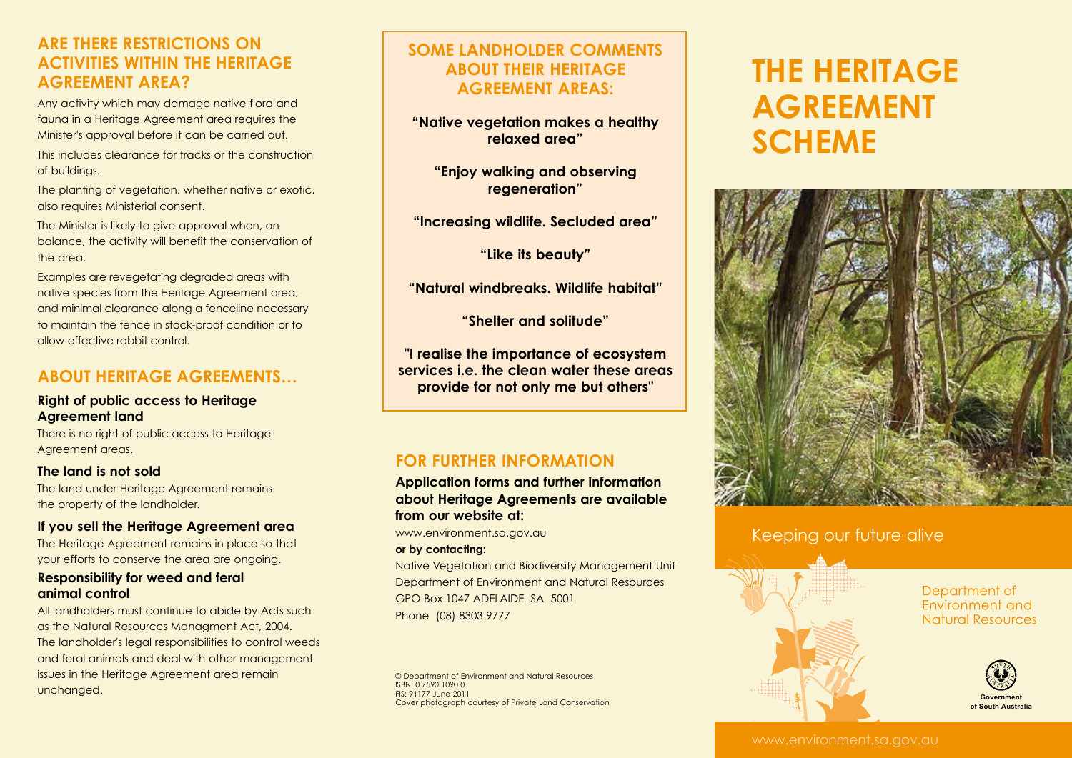# **Are there restrictions on activities within the Heritage Agreement area?**

Any activity which may damage native flora and fauna in a Heritage Agreement area requires the Minister's approval before it can be carried out.

This includes clearance for tracks or the construction of buildings.

The planting of vegetation, whether native or exotic, also requires Ministerial consent.

The Minister is likely to give approval when, on balance, the activity will benefit the conservation of the area.

Examples are revegetating degraded areas with native species from the Heritage Agreement area, and minimal clearance along a fenceline necessary to maintain the fence in stock-proof condition or to allow effective rabbit control.

# **About Heritage Agreements…**

#### **Right of public access to Heritage Agreement land**

There is no right of public access to Heritage Agreement areas.

#### **The land is not sold**

The land under Heritage Agreement remains the property of the landholder.

#### **If you sell the Heritage Agreement area**

The Heritage Agreement remains in place so that your efforts to conserve the area are ongoing.

#### **Responsibility for weed and feral animal control**

All landholders must continue to abide by Acts such as the Natural Resources Managment Act, 2004. The landholder's legal responsibilities to control weeds and feral animals and deal with other management issues in the Heritage Agreement area remain unchanged.

# **Some landholder comments about their Heritage Agreement areas:**

**"Native vegetation makes a healthy relaxed area"**

**"Enjoy walking and observing regeneration"**

**"Increasing wildlife. Secluded area"**

**"Like its beauty"**

**"Natural windbreaks. Wildlife habitat"**

**"Shelter and solitude"**

**"I realise the importance of ecosystem services i.e. the clean water these areas provide for not only me but others"**

# **For further information**

**Application forms and further information about Heritage Agreements are available from our website at:** 

www.environment.sa.gov.au

#### **or by contacting:**

Native Vegetation and Biodiversity Management Unit Department of Environment and Natural Resources GPO Box 1047 ADELAIDE SA 5001 Phone (08) 8303 9777

© Department of Environment and Natural Resources ISBN: 0 7590 1090 0 FIS: 91177 June 2011 Cover photograph courtesy of Private Land Conservation

# **The Heritage Agreement Scheme**



## Keeping our future alive



#### Department of Environment and **Natural Resources**